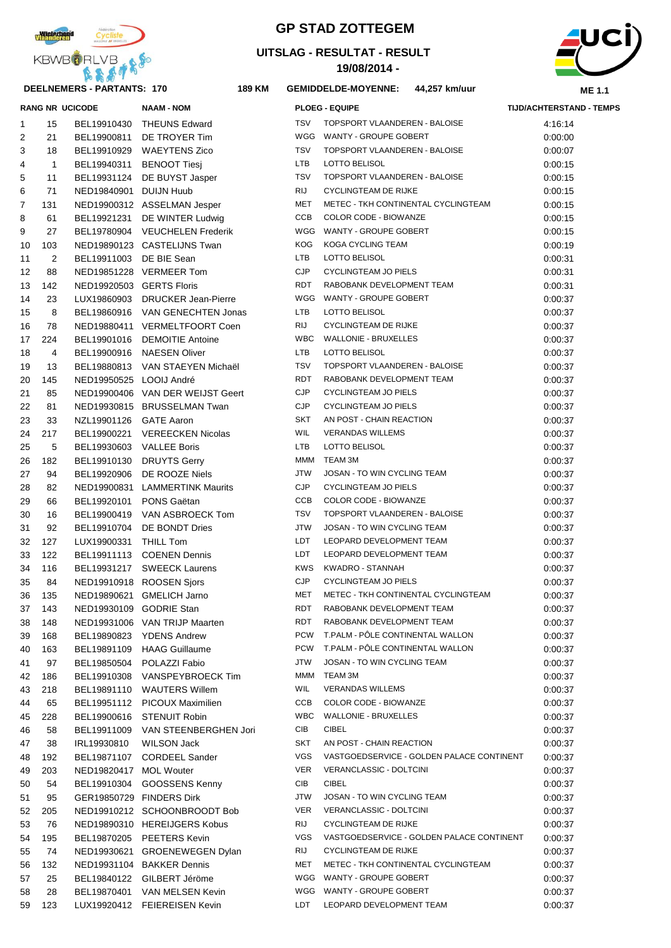

#### **DEELNEMERS - PARTANTS: 170 189**

# **GP STAD ZOTTEGEM**

## **UITSLAG - RESULTAT - RESULT**

**19/08/2014 -** 



|    |              | <b>RANG NR UCICODE</b>   | <b>NAAM - NOM</b>                 |            | <b>PLOEG - EQUIPE</b>                     | <b>TIJD/ACHTERSTAND - TEMPS</b> |
|----|--------------|--------------------------|-----------------------------------|------------|-------------------------------------------|---------------------------------|
| 1  | 15           |                          | BEL19910430 THEUNS Edward         | <b>TSV</b> | TOPSPORT VLAANDEREN - BALOISE             | 4:16:14                         |
| 2  | 21           |                          | BEL19900811 DE TROYER Tim         |            | WGG WANTY - GROUPE GOBERT                 | 0:00:00                         |
| 3  | 18           |                          | BEL19910929 WAEYTENS Zico         | <b>TSV</b> | TOPSPORT VLAANDEREN - BALOISE             | 0:00:07                         |
| 4  | $\mathbf{1}$ |                          | BEL19940311 BENOOT Tiesj          | LTB        | LOTTO BELISOL                             | 0:00:15                         |
| 5  | 11           |                          | BEL19931124 DE BUYST Jasper       | <b>TSV</b> | TOPSPORT VLAANDEREN - BALOISE             | 0:00:15                         |
| 6  | 71           | NED19840901 DUIJN Huub   |                                   | <b>RIJ</b> | <b>CYCLINGTEAM DE RIJKE</b>               | 0:00:15                         |
| 7  | 131          |                          | NED19900312 ASSELMAN Jesper       | MET        | METEC - TKH CONTINENTAL CYCLINGTEAM       | 0:00:15                         |
| 8  | 61           |                          | BEL19921231 DE WINTER Ludwig      | <b>CCB</b> | COLOR CODE - BIOWANZE                     | 0:00:15                         |
| 9  | 27           |                          | BEL19780904 VEUCHELEN Frederik    | WGG        | WANTY - GROUPE GOBERT                     | 0:00:15                         |
| 10 | 103          |                          | NED19890123 CASTELIJNS Twan       | <b>KOG</b> | <b>KOGA CYCLING TEAM</b>                  | 0:00:19                         |
| 11 | 2            | BEL19911003 DE BIE Sean  |                                   | <b>LTB</b> | <b>LOTTO BELISOL</b>                      | 0:00:31                         |
| 12 | 88           |                          | NED19851228 VERMEER Tom           | <b>CJP</b> | CYCLINGTEAM JO PIELS                      | 0:00:31                         |
| 13 | 142          | NED19920503 GERTS Floris |                                   | <b>RDT</b> | RABOBANK DEVELOPMENT TEAM                 | 0:00:31                         |
| 14 | 23           |                          | LUX19860903 DRUCKER Jean-Pierre   | WGG        | WANTY - GROUPE GOBERT                     | 0:00:37                         |
| 15 | 8            |                          | BEL19860916 VAN GENECHTEN Jonas   | LTB        | LOTTO BELISOL                             | 0:00:37                         |
| 16 | 78           |                          | NED19880411 VERMELTFOORT Coen     | <b>RIJ</b> | <b>CYCLINGTEAM DE RIJKE</b>               | 0:00:37                         |
| 17 | 224          |                          | BEL19901016 DEMOITIE Antoine      | <b>WBC</b> | <b>WALLONIE - BRUXELLES</b>               | 0:00:37                         |
| 18 | 4            |                          | BEL19900916 NAESEN Oliver         | LTB        | LOTTO BELISOL                             | 0:00:37                         |
| 19 | 13           |                          | BEL19880813 VAN STAEYEN Michaël   | <b>TSV</b> | TOPSPORT VLAANDEREN - BALOISE             | 0:00:37                         |
| 20 | 145          | NED19950525 LOOIJ André  |                                   | <b>RDT</b> | RABOBANK DEVELOPMENT TEAM                 | 0:00:37                         |
| 21 | 85           |                          | NED19900406 VAN DER WEIJST Geert  | <b>CJP</b> | CYCLINGTEAM JO PIELS                      | 0:00:37                         |
| 22 | 81           |                          | NED19930815 BRUSSELMAN Twan       | <b>CJP</b> | <b>CYCLINGTEAM JO PIELS</b>               | 0:00:37                         |
| 23 | 33           | NZL19901126 GATE Aaron   |                                   | <b>SKT</b> | AN POST - CHAIN REACTION                  | 0:00:37                         |
| 24 | 217          |                          | BEL19900221 VEREECKEN Nicolas     | WIL        | <b>VERANDAS WILLEMS</b>                   | 0:00:37                         |
| 25 | 5            | BEL19930603 VALLEE Boris |                                   | LTB        | LOTTO BELISOL                             | 0:00:37                         |
| 26 | 182          |                          | BEL19910130 DRUYTS Gerry          | MMM        | TEAM 3M                                   | 0:00:37                         |
| 27 | 94           |                          | BEL19920906 DE ROOZE Niels        | JTW        | JOSAN - TO WIN CYCLING TEAM               | 0:00:37                         |
| 28 | 82           |                          | NED19900831 LAMMERTINK Maurits    | <b>CJP</b> | <b>CYCLINGTEAM JO PIELS</b>               | 0:00:37                         |
| 29 | 66           | BEL19920101 PONS Gaëtan  |                                   | CCB        | COLOR CODE - BIOWANZE                     | 0:00:37                         |
| 30 | 16           |                          | BEL19900419 VAN ASBROECK Tom      | <b>TSV</b> | TOPSPORT VLAANDEREN - BALOISE             | 0:00:37                         |
| 31 | 92           |                          | BEL19910704 DE BONDT Dries        | JTW        | JOSAN - TO WIN CYCLING TEAM               | 0:00:37                         |
| 32 | 127          | LUX19900331 THILL Tom    |                                   | LDT        | LEOPARD DEVELOPMENT TEAM                  | 0:00:37                         |
| 33 | 122          |                          | BEL19911113 COENEN Dennis         | LDT        | LEOPARD DEVELOPMENT TEAM                  | 0:00:37                         |
| 34 | 116          |                          | BEL19931217 SWEECK Laurens        | <b>KWS</b> | KWADRO - STANNAH                          | 0:00:37                         |
| 35 | 84           |                          | NED19910918 ROOSEN Sjors          | <b>CJP</b> | <b>CYCLINGTEAM JO PIELS</b>               | 0:00:37                         |
| 36 | 135          |                          | NED19890621 GMELICH Jarno         | <b>MET</b> | METEC - TKH CONTINENTAL CYCLINGTEAM       | 0:00:37                         |
| 37 | 143          | NED19930109 GODRIE Stan  |                                   | RDT        | RABOBANK DEVELOPMENT TEAM                 | 0:00:37                         |
| 38 | 148          |                          | NED19931006 VAN TRIJP Maarten     | RDT        | RABOBANK DEVELOPMENT TEAM                 | 0:00:37                         |
| 39 | 168          |                          | BEL19890823 YDENS Andrew          | <b>PCW</b> | T.PALM - PÔLE CONTINENTAL WALLON          | 0:00:37                         |
| 40 | 163          |                          | BEL19891109 HAAG Guillaume        | <b>PCW</b> | T.PALM - PÖLE CONTINENTAL WALLON          | 0:00:37                         |
| 41 | 97           |                          | BEL19850504 POLAZZI Fabio         | <b>JTW</b> | JOSAN - TO WIN CYCLING TEAM               | 0:00:37                         |
| 42 | 186          |                          | BEL19910308 VANSPEYBROECK Tim     | MMM        | TEAM 3M                                   | 0:00:37                         |
| 43 | 218          |                          | BEL19891110 WAUTERS Willem        | <b>WIL</b> | <b>VERANDAS WILLEMS</b>                   | 0:00:37                         |
| 44 | 65           |                          | BEL19951112 PICOUX Maximilien     | CCB        | COLOR CODE - BIOWANZE                     | 0:00:37                         |
| 45 | 228          | BEL19900616              | <b>STENUIT Robin</b>              | <b>WBC</b> | <b>WALLONIE - BRUXELLES</b>               | 0:00:37                         |
| 46 | 58           |                          | BEL19911009 VAN STEENBERGHEN Jori | CIB        | <b>CIBEL</b>                              | 0:00:37                         |
| 47 | 38           | IRL19930810              | WILSON Jack                       | SKT        | AN POST - CHAIN REACTION                  | 0:00:37                         |
| 48 | 192          |                          | BEL19871107 CORDEEL Sander        | VGS        | VASTGOEDSERVICE - GOLDEN PALACE CONTINENT | 0:00:37                         |
| 49 | 203          | NED19820417 MOL Wouter   |                                   | <b>VER</b> | VERANCLASSIC - DOLTCINI                   | 0:00:37                         |
| 50 | 54           | BEL19910304              | <b>GOOSSENS Kenny</b>             | CIB        | <b>CIBEL</b>                              | 0:00:37                         |
| 51 | 95           |                          | GER19850729 FINDERS Dirk          | <b>JTW</b> | JOSAN - TO WIN CYCLING TEAM               | 0:00:37                         |
| 52 | 205          |                          | NED19910212 SCHOONBROODT Bob      | <b>VER</b> | VERANCLASSIC - DOLTCINI                   | 0:00:37                         |
| 53 | 76           |                          | NED19890310 HEREIJGERS Kobus      | RIJ        | <b>CYCLINGTEAM DE RIJKE</b>               | 0:00:37                         |
| 54 | 195          |                          | BEL19870205 PEETERS Kevin         | <b>VGS</b> | VASTGOEDSERVICE - GOLDEN PALACE CONTINENT | 0:00:37                         |
| 55 | 74           |                          | NED19930621 GROENEWEGEN Dylan     | RIJ        | <b>CYCLINGTEAM DE RIJKE</b>               | 0:00:37                         |
| 56 | 132          |                          | NED19931104 BAKKER Dennis         | MET        | METEC - TKH CONTINENTAL CYCLINGTEAM       | 0:00:37                         |
| 57 | 25           |                          | BEL19840122 GILBERT Jéröme        | WGG        | WANTY - GROUPE GOBERT                     | 0:00:37                         |
| 58 | 28           |                          | BEL19870401 VAN MELSEN Kevin      |            | WGG WANTY - GROUPE GOBERT                 | 0:00:37                         |
| 59 | 123          |                          | LUX19920412 FEIEREISEN Kevin      | LDT        | LEOPARD DEVELOPMENT TEAM                  | 0:00:37                         |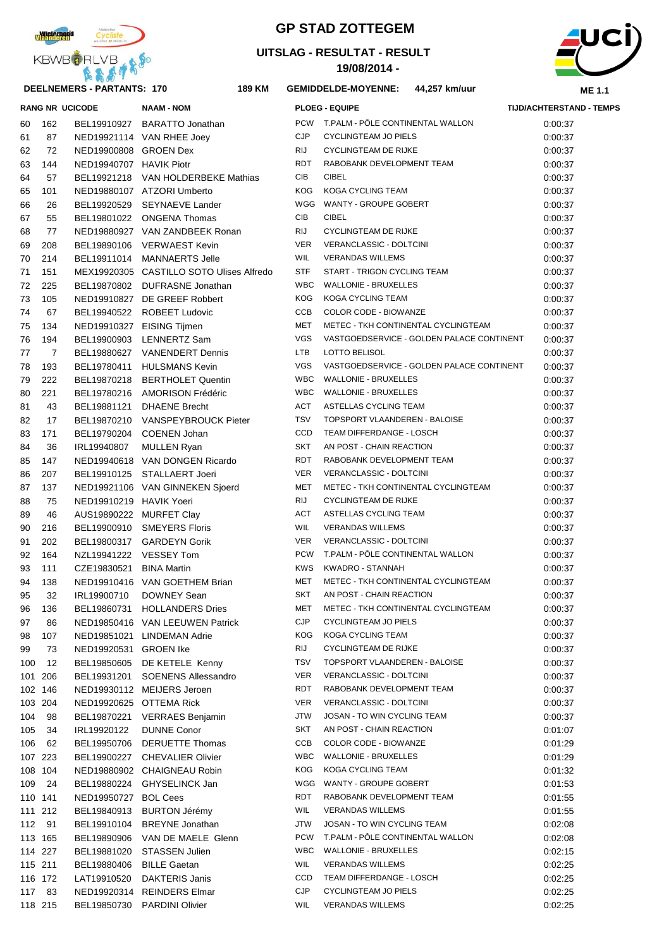

## **DEELNEMERS - PARTANTS: 170 189**

## **GP STAD ZOTTEGEM**

## **UITSLAG - RESULTAT - RESULT**

**19/08/2014 -** 



|     |         | <b>RANG NR UCICODE</b>  | <b>NAAM - NOM</b>                        |            | <b>PLOEG - EQUIPE</b>                     | <b>TIJD/ACHTERSTAND - TEMPS</b> |
|-----|---------|-------------------------|------------------------------------------|------------|-------------------------------------------|---------------------------------|
| 60  | 162     |                         | BEL19910927 BARATTO Jonathan             | <b>PCW</b> | T.PALM - PÔLE CONTINENTAL WALLON          | 0:00:37                         |
| 61  | 87      |                         | NED19921114 VAN RHEE Joey                | <b>CJP</b> | <b>CYCLINGTEAM JO PIELS</b>               | 0:00:37                         |
| 62  | 72      | NED19900808 GROEN Dex   |                                          | <b>RIJ</b> | <b>CYCLINGTEAM DE RIJKE</b>               | 0:00:37                         |
| 63  | 144     | NED19940707 HAVIK Piotr |                                          | <b>RDT</b> | RABOBANK DEVELOPMENT TEAM                 | 0:00:37                         |
| 64  | 57      |                         | BEL19921218 VAN HOLDERBEKE Mathias       | CIB        | <b>CIBEL</b>                              | 0:00:37                         |
| 65  | 101     |                         | NED19880107 ATZORI Umberto               | KOG        | KOGA CYCLING TEAM                         | 0:00:37                         |
| 66  | 26      |                         | BEL19920529 SEYNAEVE Lander              | WGG        | WANTY - GROUPE GOBERT                     | 0:00:37                         |
| 67  | 55      |                         | BEL19801022 ONGENA Thomas                | CIB        | <b>CIBEL</b>                              | 0:00:37                         |
| 68  | 77      |                         | NED19880927 VAN ZANDBEEK Ronan           | <b>RIJ</b> | CYCLINGTEAM DE RIJKE                      | 0:00:37                         |
| 69  | 208     |                         | BEL19890106 VERWAEST Kevin               | <b>VER</b> | VERANCLASSIC - DOLTCINI                   | 0:00:37                         |
| 70  | 214     |                         | BEL19911014 MANNAERTS Jelle              | WIL        | <b>VERANDAS WILLEMS</b>                   | 0:00:37                         |
| 71  | 151     |                         | MEX19920305 CASTILLO SOTO Ulises Alfredo | <b>STF</b> | START - TRIGON CYCLING TEAM               | 0:00:37                         |
| 72  | 225     |                         | BEL19870802 DUFRASNE Jonathan            | <b>WBC</b> | <b>WALLONIE - BRUXELLES</b>               | 0:00:37                         |
| 73  | 105     |                         | NED19910827 DE GREEF Robbert             | <b>KOG</b> | KOGA CYCLING TEAM                         | 0:00:37                         |
| 74  | 67      |                         | BEL19940522 ROBEET Ludovic               | <b>CCB</b> | COLOR CODE - BIOWANZE                     | 0:00:37                         |
| 75  | 134     |                         | NED19910327 EISING Tijmen                | <b>MET</b> | METEC - TKH CONTINENTAL CYCLINGTEAM       | 0:00:37                         |
| 76  | 194     |                         | BEL19900903 LENNERTZ Sam                 | <b>VGS</b> | VASTGOEDSERVICE - GOLDEN PALACE CONTINENT | 0:00:37                         |
| 77  | 7       |                         | BEL19880627 VANENDERT Dennis             | <b>LTB</b> | LOTTO BELISOL                             | 0:00:37                         |
| 78  | 193     |                         | BEL19780411 HULSMANS Kevin               | <b>VGS</b> | VASTGOEDSERVICE - GOLDEN PALACE CONTINENT | 0:00:37                         |
| 79  | 222     | BEL19870218             | <b>BERTHOLET Quentin</b>                 | <b>WBC</b> | <b>WALLONIE - BRUXELLES</b>               | 0:00:37                         |
| 80  | 221     |                         | BEL19780216 AMORISON Frédéric            | <b>WBC</b> | <b>WALLONIE - BRUXELLES</b>               | 0:00:37                         |
| 81  | 43      |                         | BEL19881121 DHAENE Brecht                | ACT        | ASTELLAS CYCLING TEAM                     | 0:00:37                         |
| 82  | 17      |                         | BEL19870210 VANSPEYBROUCK Pieter         | <b>TSV</b> | TOPSPORT VLAANDEREN - BALOISE             | 0:00:37                         |
| 83  | 171     |                         | BEL19790204 COENEN Johan                 | <b>CCD</b> | TEAM DIFFERDANGE - LOSCH                  | 0:00:37                         |
| 84  | 36      | IRL19940807             | <b>MULLEN Ryan</b>                       | <b>SKT</b> | AN POST - CHAIN REACTION                  | 0:00:37                         |
| 85  | 147     |                         | NED19940618 VAN DONGEN Ricardo           | <b>RDT</b> | RABOBANK DEVELOPMENT TEAM                 | 0:00:37                         |
| 86  | 207     |                         | BEL19910125 STALLAERT Joeri              | <b>VER</b> | VERANCLASSIC - DOLTCINI                   | 0:00:37                         |
| 87  | 137     |                         | NED19921106 VAN GINNEKEN Sjoerd          | <b>MET</b> | METEC - TKH CONTINENTAL CYCLINGTEAM       | 0:00:37                         |
| 88  | 75      | NED19910219 HAVIK Yoeri |                                          | RIJ        | <b>CYCLINGTEAM DE RIJKE</b>               | 0:00:37                         |
| 89  | 46      |                         | AUS19890222 MURFET Clay                  | <b>ACT</b> | ASTELLAS CYCLING TEAM                     | 0:00:37                         |
| 90  | 216     | BEL19900910             | <b>SMEYERS Floris</b>                    | <b>WIL</b> | <b>VERANDAS WILLEMS</b>                   | 0:00:37                         |
| 91  | 202     | BEL19800317             | <b>GARDEYN Gorik</b>                     | <b>VER</b> | VERANCLASSIC - DOLTCINI                   | 0:00:37                         |
| 92  | 164     | NZL19941222 VESSEY Tom  |                                          | <b>PCW</b> | T.PALM - PÔLE CONTINENTAL WALLON          | 0:00:37                         |
| 93  | 111     | CZE19830521             | <b>BINA Martin</b>                       | <b>KWS</b> | KWADRO - STANNAH                          | 0:00:37                         |
| 94  | 138     |                         | NED19910416 VAN GOETHEM Brian            | <b>MET</b> | METEC - TKH CONTINENTAL CYCLINGTEAM       | 0:00:37                         |
| 95  | 32      | IRL19900710             | <b>DOWNEY Sean</b>                       | <b>SKT</b> | AN POST - CHAIN REACTION                  | 0:00:37                         |
| 96  | 136     |                         | BEL19860731 HOLLANDERS Dries             |            | MET METEC - TKH CONTINENTAL CYCLINGTEAM   | 0:00:37                         |
| 97  | 86      |                         | NED19850416 VAN LEEUWEN Patrick          | CJP        | CYCLINGTEAM JO PIELS                      | 0:00:37                         |
| 98  | 107     |                         | NED19851021 LINDEMAN Adrie               | <b>KOG</b> | KOGA CYCLING TEAM                         | 0:00:37                         |
| 99  | 73      | NED19920531 GROEN Ike   |                                          | RIJ        | <b>CYCLINGTEAM DE RIJKE</b>               | 0:00:37                         |
| 100 | 12      | BEL19850605             | DE KETELE Kenny                          | <b>TSV</b> | TOPSPORT VLAANDEREN - BALOISE             | 0:00:37                         |
|     | 101 206 | BEL19931201             | <b>SOENENS Allessandro</b>               | VER        | VERANCLASSIC - DOLTCINI                   | 0:00:37                         |
|     | 102 146 |                         | NED19930112 MEIJERS Jeroen               | RDT        | RABOBANK DEVELOPMENT TEAM                 | 0:00:37                         |
|     | 103 204 |                         | NED19920625 OTTEMA Rick                  | VER        | VERANCLASSIC - DOLTCINI                   | 0:00:37                         |
| 104 | 98      | BEL19870221             | <b>VERRAES Benjamin</b>                  | JTW        | JOSAN - TO WIN CYCLING TEAM               | 0:00:37                         |
| 105 | 34      | IRL19920122             | <b>DUNNE Conor</b>                       | SKT        | AN POST - CHAIN REACTION                  | 0:01:07                         |
| 106 | 62      | BEL19950706             | <b>DERUETTE Thomas</b>                   | CCB        | COLOR CODE - BIOWANZE                     | 0:01:29                         |
|     | 107 223 | BEL19900227             | <b>CHEVALIER Olivier</b>                 | <b>WBC</b> | WALLONIE - BRUXELLES                      | 0:01:29                         |
|     | 108 104 |                         | NED19880902 CHAIGNEAU Robin              | KOG        | KOGA CYCLING TEAM                         | 0:01:32                         |
| 109 | -24     | BEL19880224             | <b>GHYSELINCK Jan</b>                    | WGG        | WANTY - GROUPE GOBERT                     | 0:01:53                         |
|     | 110 141 | NED19950727             | <b>BOL Cees</b>                          | RDT        | RABOBANK DEVELOPMENT TEAM                 | 0:01:55                         |
|     | 111 212 | BEL19840913             | <b>BURTON Jérémy</b>                     | WIL        | <b>VERANDAS WILLEMS</b>                   | 0:01:55                         |
|     | 112 91  | BEL19910104             | <b>BREYNE</b> Jonathan                   | JTW        | JOSAN - TO WIN CYCLING TEAM               | 0:02:08                         |
|     | 113 165 | BEL19890906             | VAN DE MAELE Glenn                       | <b>PCW</b> | T.PALM - PÖLE CONTINENTAL WALLON          | 0:02:08                         |
|     | 114 227 | BEL19881020             | <b>STASSEN Julien</b>                    | <b>WBC</b> | <b>WALLONIE - BRUXELLES</b>               | 0:02:15                         |
|     | 115 211 | BEL19880406             | <b>BILLE Gaetan</b>                      | WIL        | <b>VERANDAS WILLEMS</b>                   | 0:02:25                         |
|     | 116 172 | LAT19910520             | <b>DAKTERIS Janis</b>                    | CCD        | TEAM DIFFERDANGE - LOSCH                  | 0:02:25                         |
|     | 117 83  |                         | NED19920314 REINDERS Elmar               | <b>CJP</b> | CYCLINGTEAM JO PIELS                      | 0:02:25                         |
|     | 118 215 |                         | BEL19850730 PARDINI Olivier              | <b>WIL</b> | <b>VERANDAS WILLEMS</b>                   | 0:02:25                         |
|     |         |                         |                                          |            |                                           |                                 |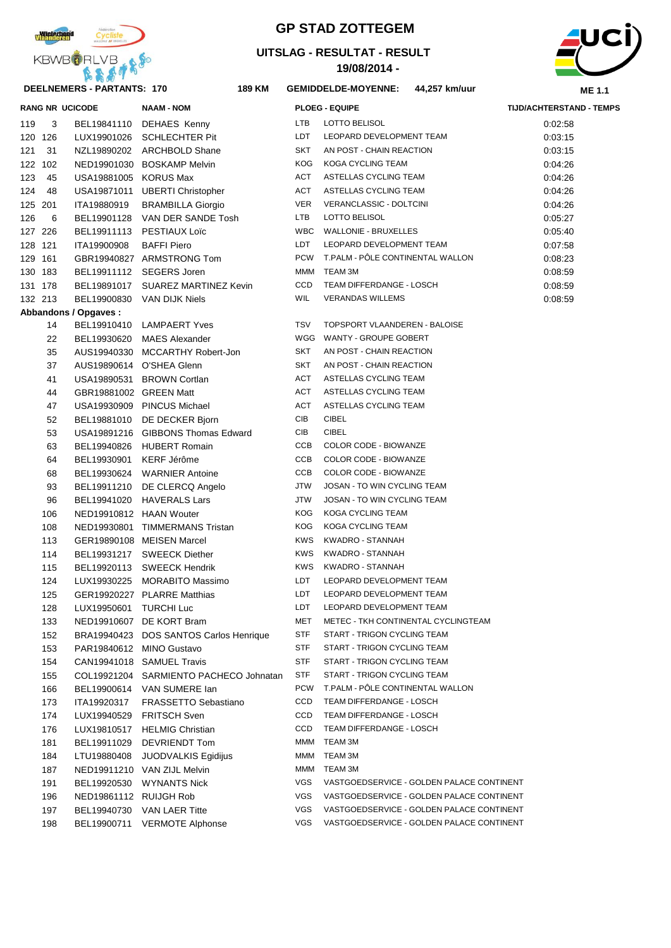

# **GP STAD ZOTTEGEM**

## **UITSLAG - RESULTAT - RESULT**

**19/08/2014 -** 



|     |         | RANG NR UCICODE             | NAAM - NOM                             |            | <b>PLOEG - EQUIPE</b>                     | TIJD/ACHTERSTAND - TEMPS |
|-----|---------|-----------------------------|----------------------------------------|------------|-------------------------------------------|--------------------------|
| 119 | 3       |                             | BEL19841110 DEHAES Kenny               | LTB        | LOTTO BELISOL                             | 0:02:58                  |
|     | 120 126 |                             | LUX19901026 SCHLECHTER Pit             | LDT        | LEOPARD DEVELOPMENT TEAM                  | 0:03:15                  |
|     | 121 31  |                             | NZL19890202 ARCHBOLD Shane             | <b>SKT</b> | AN POST - CHAIN REACTION                  | 0:03:15                  |
|     | 122 102 |                             | NED19901030 BOSKAMP Melvin             | KOG        | KOGA CYCLING TEAM                         | 0:04:26                  |
|     | 123 45  | USA19881005 KORUS Max       |                                        | ACT        | ASTELLAS CYCLING TEAM                     | 0:04:26                  |
|     | 124 48  |                             | USA19871011 UBERTI Christopher         | ACT        | ASTELLAS CYCLING TEAM                     | 0:04:26                  |
|     | 125 201 | ITA19880919                 | <b>BRAMBILLA Giorgio</b>               | VER        | VERANCLASSIC - DOLTCINI                   | 0:04:26                  |
| 126 | - 6     |                             | BEL19901128 VAN DER SANDE Tosh         | LTB        | LOTTO BELISOL                             | 0:05:27                  |
|     | 127 226 |                             | BEL19911113 PESTIAUX Loïc              | WBC        | <b>WALLONIE - BRUXELLES</b>               | 0:05:40                  |
|     | 128 121 | ITA19900908                 | <b>BAFFI Piero</b>                     | LDT        | LEOPARD DEVELOPMENT TEAM                  | 0:07:58                  |
|     | 129 161 |                             | GBR19940827 ARMSTRONG Tom              | PCW        | T.PALM - PÔLE CONTINENTAL WALLON          | 0:08:23                  |
|     | 130 183 |                             | BEL19911112 SEGERS Joren               | MMM        | TEAM 3M                                   | 0:08:59                  |
|     | 131 178 |                             | BEL19891017 SUAREZ MARTINEZ Kevin      | CCD        | TEAM DIFFERDANGE - LOSCH                  | 0:08:59                  |
|     | 132 213 |                             | BEL19900830 VAN DIJK Niels             | WIL        | <b>VERANDAS WILLEMS</b>                   | 0:08:59                  |
|     |         | <b>Abbandons / Opgaves:</b> |                                        |            |                                           |                          |
|     | 14      |                             | BEL19910410 LAMPAERT Yves              | TSV        | TOPSPORT VLAANDEREN - BALOISE             |                          |
|     | 22      |                             | BEL19930620 MAES Alexander             |            | WGG WANTY - GROUPE GOBERT                 |                          |
|     | 35      |                             | AUS19940330 MCCARTHY Robert-Jon        | SKT        | AN POST - CHAIN REACTION                  |                          |
|     | 37      |                             | AUS19890614 O'SHEA Glenn               | SKT        | AN POST - CHAIN REACTION                  |                          |
|     | 41      |                             | USA19890531 BROWN Cortlan              | ACT        | ASTELLAS CYCLING TEAM                     |                          |
|     | 44      | GBR19881002 GREEN Matt      |                                        | ACT        | ASTELLAS CYCLING TEAM                     |                          |
|     | 47      |                             | USA19930909 PINCUS Michael             | ACT        | ASTELLAS CYCLING TEAM                     |                          |
|     | 52      |                             | BEL19881010 DE DECKER Bjorn            | CIB        | <b>CIBEL</b>                              |                          |
|     | 53      |                             | USA19891216 GIBBONS Thomas Edward      | CIB        | <b>CIBEL</b>                              |                          |
|     | 63      |                             | BEL19940826 HUBERT Romain              | CCB        | <b>COLOR CODE - BIOWANZE</b>              |                          |
|     | 64      |                             | BEL19930901 KERF Jérôme                | CCB        | COLOR CODE - BIOWANZE                     |                          |
|     | 68      |                             | BEL19930624 WARNIER Antoine            | CCB        | COLOR CODE - BIOWANZE                     |                          |
|     | 93      |                             | BEL19911210 DE CLERCQ Angelo           | JTW        | JOSAN - TO WIN CYCLING TEAM               |                          |
|     | 96      |                             | BEL19941020 HAVERALS Lars              | JTW        | JOSAN - TO WIN CYCLING TEAM               |                          |
|     | 106     | NED19910812 HAAN Wouter     |                                        | <b>KOG</b> | KOGA CYCLING TEAM                         |                          |
|     | 108     |                             | NED19930801 TIMMERMANS Tristan         | <b>KOG</b> | KOGA CYCLING TEAM                         |                          |
|     | 113     |                             | GER19890108 MEISEN Marcel              | <b>KWS</b> | KWADRO - STANNAH                          |                          |
|     | 114     |                             | BEL19931217 SWEECK Diether             | <b>KWS</b> | KWADRO - STANNAH                          |                          |
|     | 115     |                             | BEL19920113 SWEECK Hendrik             | <b>KWS</b> | KWADRO - STANNAH                          |                          |
|     | 124     |                             | LUX19930225 MORABITO Massimo           | LDT        | LEOPARD DEVELOPMENT TEAM                  |                          |
|     | 125     |                             | GER19920227 PLARRE Matthias            | LDT        | LEOPARD DEVELOPMENT TEAM                  |                          |
|     | 128     | LUX19950601 TURCHI Luc      |                                        | LDT        | LEOPARD DEVELOPMENT TEAM                  |                          |
|     | 133     |                             | NED19910607 DE KORT Bram               | MET        | METEC - TKH CONTINENTAL CYCLINGTEAM       |                          |
|     | 152     |                             | BRA19940423 DOS SANTOS Carlos Henrique | STF        | START - TRIGON CYCLING TEAM               |                          |
|     | 153     |                             | PAR19840612 MINO Gustavo               | STF        | START - TRIGON CYCLING TEAM               |                          |
|     | 154     |                             | CAN19941018 SAMUEL Travis              | STF        | START - TRIGON CYCLING TEAM               |                          |
|     | 155     |                             | COL19921204 SARMIENTO PACHECO Johnatan | STF        | START - TRIGON CYCLING TEAM               |                          |
|     | 166     |                             | BEL19900614 VAN SUMERE lan             | <b>PCW</b> | T.PALM - POLE CONTINENTAL WALLON          |                          |
|     | 173     | ITA19920317                 | <b>FRASSETTO Sebastiano</b>            | CCD        | TEAM DIFFERDANGE - LOSCH                  |                          |
|     | 174     |                             | LUX19940529 FRITSCH Sven               | CCD        | TEAM DIFFERDANGE - LOSCH                  |                          |
|     | 176     |                             | LUX19810517 HELMIG Christian           | CCD        | TEAM DIFFERDANGE - LOSCH                  |                          |
|     | 181     |                             | BEL19911029 DEVRIENDT Tom              | MMM        | TEAM 3M                                   |                          |
|     | 184     | LTU19880408                 | JUODVALKIS Egidijus                    | MMM        | TEAM 3M                                   |                          |
|     | 187     |                             | NED19911210 VAN ZIJL Melvin            | MMM        | TEAM 3M                                   |                          |
|     | 191     |                             | BEL19920530 WYNANTS Nick               | VGS        | VASTGOEDSERVICE - GOLDEN PALACE CONTINENT |                          |
|     | 196     | NED19861112 RUIJGH Rob      |                                        | VGS        | VASTGOEDSERVICE - GOLDEN PALACE CONTINENT |                          |
|     | 197     |                             | BEL19940730 VAN LAER Titte             | VGS        | VASTGOEDSERVICE - GOLDEN PALACE CONTINENT |                          |
|     | 198     |                             | BEL19900711 VERMOTE Alphonse           | VGS        | VASTGOEDSERVICE - GOLDEN PALACE CONTINENT |                          |
|     |         |                             |                                        |            |                                           |                          |